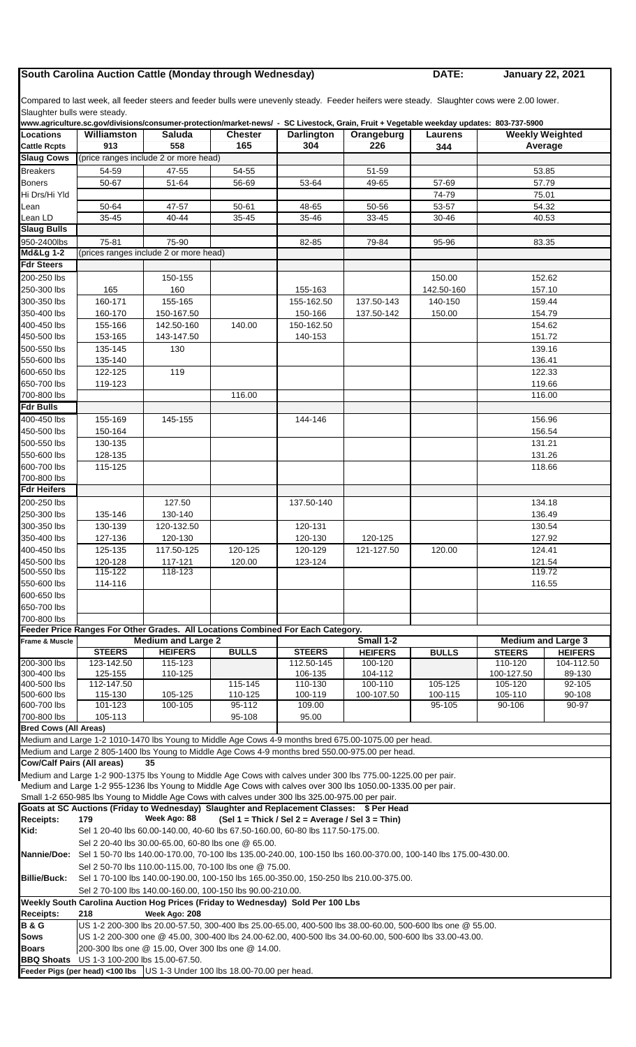## **South Carolina Auction Cattle (Monday through Wednesday) DATE:**

**January 22, 2021**

Compared to last week, all feeder steers and feeder bulls were unevenly steady. Feeder heifers were steady. Slaughter cows were 2.00 lower. Slaughter bulls were steady.

|                                   |                                                                                                                                                    |                                                                                                            |                |                                                    | www.agriculture.sc.gov/divisions/consumer-protection/market-news/ - SC Livestock, Grain, Fruit + Vegetable weekday updates: 803-737-5900 |              |                        |                           |  |  |
|-----------------------------------|----------------------------------------------------------------------------------------------------------------------------------------------------|------------------------------------------------------------------------------------------------------------|----------------|----------------------------------------------------|------------------------------------------------------------------------------------------------------------------------------------------|--------------|------------------------|---------------------------|--|--|
| Locations                         | Williamston                                                                                                                                        | <b>Saluda</b>                                                                                              | <b>Chester</b> | <b>Darlington</b>                                  | Orangeburg                                                                                                                               | Laurens      | <b>Weekly Weighted</b> |                           |  |  |
| <b>Cattle Rcpts</b>               | 913                                                                                                                                                | 558                                                                                                        | 165            | 304                                                | 226                                                                                                                                      | 344          | Average                |                           |  |  |
| <b>Slaug Cows</b>                 |                                                                                                                                                    | (price ranges include 2 or more head)                                                                      |                |                                                    |                                                                                                                                          |              |                        |                           |  |  |
| <b>Breakers</b>                   | 54-59                                                                                                                                              | 47-55                                                                                                      | 54-55          |                                                    | 51-59                                                                                                                                    |              | 53.85                  |                           |  |  |
| <b>Boners</b>                     | 50-67                                                                                                                                              | 51-64                                                                                                      | 56-69          | 53-64                                              | 49-65                                                                                                                                    | 57-69        | 57.79                  |                           |  |  |
| Hi Drs/Hi Yld                     |                                                                                                                                                    |                                                                                                            |                |                                                    |                                                                                                                                          | 74-79        | 75.01                  |                           |  |  |
| Lean                              | 50-64                                                                                                                                              | 47-57                                                                                                      | $50 - 61$      | 48-65                                              | 50-56                                                                                                                                    | 53-57        |                        | 54.32                     |  |  |
| Lean LD                           | 35-45                                                                                                                                              | 40-44                                                                                                      | 35-45          | 35-46                                              | 33-45                                                                                                                                    | 30-46        | 40.53                  |                           |  |  |
| <b>Slaug Bulls</b>                |                                                                                                                                                    |                                                                                                            |                |                                                    |                                                                                                                                          |              |                        |                           |  |  |
| 950-2400lbs                       | 75-81                                                                                                                                              | 75-90                                                                                                      |                | 82-85                                              | 79-84                                                                                                                                    | 95-96        | 83.35                  |                           |  |  |
| <b>Md&amp;Lg 1-2</b>              |                                                                                                                                                    | (prices ranges include 2 or more head)                                                                     |                |                                                    |                                                                                                                                          |              |                        |                           |  |  |
| <b>Fdr Steers</b>                 |                                                                                                                                                    |                                                                                                            |                |                                                    |                                                                                                                                          |              |                        |                           |  |  |
| 200-250 lbs                       |                                                                                                                                                    | 150-155                                                                                                    |                |                                                    |                                                                                                                                          | 150.00       |                        | 152.62                    |  |  |
| 250-300 lbs                       | 165                                                                                                                                                | 160                                                                                                        |                | 155-163                                            |                                                                                                                                          | 142.50-160   |                        | 157.10                    |  |  |
| 300-350 lbs                       | 160-171                                                                                                                                            | 155-165                                                                                                    |                | 155-162.50                                         | 137.50-143                                                                                                                               | 140-150      |                        |                           |  |  |
|                                   |                                                                                                                                                    |                                                                                                            |                |                                                    |                                                                                                                                          |              | 159.44<br>154.79       |                           |  |  |
| 350-400 lbs                       | 160-170                                                                                                                                            | 150-167.50                                                                                                 |                | 150-166                                            | 137.50-142                                                                                                                               | 150.00       |                        |                           |  |  |
| 400-450 lbs                       | 155-166                                                                                                                                            | 142.50-160                                                                                                 | 140.00         | 150-162.50                                         |                                                                                                                                          |              |                        | 154.62                    |  |  |
| 450-500 lbs                       | 153-165                                                                                                                                            | 143-147.50                                                                                                 |                | 140-153                                            |                                                                                                                                          |              | 151.72                 |                           |  |  |
| 500-550 lbs                       | 135-145                                                                                                                                            | 130                                                                                                        |                |                                                    |                                                                                                                                          |              | 139.16                 |                           |  |  |
| 550-600 lbs                       | 135-140                                                                                                                                            |                                                                                                            |                |                                                    |                                                                                                                                          |              | 136.41                 |                           |  |  |
| 600-650 lbs                       | 122-125                                                                                                                                            | 119                                                                                                        |                |                                                    |                                                                                                                                          |              | 122.33                 |                           |  |  |
| 650-700 lbs                       | 119-123                                                                                                                                            |                                                                                                            |                |                                                    |                                                                                                                                          |              | 119.66                 |                           |  |  |
| 700-800 lbs                       |                                                                                                                                                    |                                                                                                            | 116.00         |                                                    |                                                                                                                                          |              | 116.00                 |                           |  |  |
| <b>Fdr Bulls</b>                  |                                                                                                                                                    |                                                                                                            |                |                                                    |                                                                                                                                          |              |                        |                           |  |  |
| 400-450 lbs                       | 155-169                                                                                                                                            | 145-155                                                                                                    |                | 144-146                                            |                                                                                                                                          |              |                        | 156.96                    |  |  |
| 450-500 lbs                       | 150-164                                                                                                                                            |                                                                                                            |                |                                                    |                                                                                                                                          |              | 156.54                 |                           |  |  |
| 500-550 lbs                       | 130-135                                                                                                                                            |                                                                                                            |                |                                                    |                                                                                                                                          |              | 131.21                 |                           |  |  |
| 550-600 lbs                       | 128-135                                                                                                                                            |                                                                                                            |                |                                                    |                                                                                                                                          |              | 131.26                 |                           |  |  |
| 600-700 lbs                       | 115-125                                                                                                                                            |                                                                                                            |                |                                                    |                                                                                                                                          |              | 118.66                 |                           |  |  |
| 700-800 lbs                       |                                                                                                                                                    |                                                                                                            |                |                                                    |                                                                                                                                          |              |                        |                           |  |  |
| <b>Fdr Heifers</b>                |                                                                                                                                                    |                                                                                                            |                |                                                    |                                                                                                                                          |              |                        |                           |  |  |
| 200-250 lbs                       |                                                                                                                                                    | 127.50                                                                                                     |                | 137.50-140                                         |                                                                                                                                          |              | 134.18                 |                           |  |  |
| 250-300 lbs                       | 135-146                                                                                                                                            | 130-140                                                                                                    |                |                                                    |                                                                                                                                          |              | 136.49                 |                           |  |  |
| 300-350 lbs                       | 130-139                                                                                                                                            | 120-132.50                                                                                                 |                | 120-131                                            |                                                                                                                                          |              | 130.54                 |                           |  |  |
| 350-400 lbs                       | 127-136                                                                                                                                            | 120-130                                                                                                    |                | 120-130                                            | 120-125                                                                                                                                  |              | 127.92                 |                           |  |  |
| 400-450 lbs                       | 125-135                                                                                                                                            | 117.50-125                                                                                                 | 120-125        | 120-129                                            | 121-127.50                                                                                                                               | 120.00       | 124.41                 |                           |  |  |
| 450-500 lbs                       | 120-128                                                                                                                                            | 117-121                                                                                                    | 120.00         | 123-124                                            |                                                                                                                                          |              | 121.54                 |                           |  |  |
| 500-550 lbs                       | 115-122                                                                                                                                            | 118-123                                                                                                    |                |                                                    |                                                                                                                                          |              | 119.72                 |                           |  |  |
| 550-600 lbs                       | 114-116                                                                                                                                            |                                                                                                            |                |                                                    |                                                                                                                                          |              | 116.55                 |                           |  |  |
| 600-650 lbs                       |                                                                                                                                                    |                                                                                                            |                |                                                    |                                                                                                                                          |              |                        |                           |  |  |
| 650-700 lbs                       |                                                                                                                                                    |                                                                                                            |                |                                                    |                                                                                                                                          |              |                        |                           |  |  |
|                                   |                                                                                                                                                    |                                                                                                            |                |                                                    |                                                                                                                                          |              |                        |                           |  |  |
| 700-800 lbs                       |                                                                                                                                                    | Feeder Price Ranges For Other Grades. All Locations Combined For Each Category.                            |                |                                                    |                                                                                                                                          |              |                        |                           |  |  |
| Frame & Muscle                    |                                                                                                                                                    | <b>Medium and Large 2</b>                                                                                  |                |                                                    | Small 1-2                                                                                                                                |              |                        | <b>Medium and Large 3</b> |  |  |
|                                   | <b>STEERS</b>                                                                                                                                      | <b>HEIFERS</b>                                                                                             | <b>BULLS</b>   | <b>STEERS</b>                                      | <b>HEIFERS</b>                                                                                                                           | <b>BULLS</b> | <b>STEERS</b>          | <b>HEIFERS</b>            |  |  |
| 200-300 lbs                       | 123-142.50                                                                                                                                         | 115-123                                                                                                    |                | 112.50-145                                         | 100-120                                                                                                                                  |              | 110-120                | 104-112.50                |  |  |
| 300-400 lbs                       | 125-155                                                                                                                                            | 110-125                                                                                                    |                | 106-135                                            | 104-112                                                                                                                                  |              | 100-127.50             | 89-130                    |  |  |
| 400-500 lbs                       | 112-147.50                                                                                                                                         |                                                                                                            | 115-145        | 110-130                                            | 100-110                                                                                                                                  | 105-125      | 105-120                | 92-105                    |  |  |
| 500-600 lbs                       | 115-130                                                                                                                                            | 105-125                                                                                                    | 110-125        | 100-119                                            | 100-107.50                                                                                                                               | 100-115      | 105-110                | 90-108                    |  |  |
| 600-700 lbs                       | 101-123                                                                                                                                            | 100-105                                                                                                    | 95-112         | 109.00                                             |                                                                                                                                          | 95-105       | 90-106                 | 90-97                     |  |  |
| 700-800 lbs                       | 105-113                                                                                                                                            |                                                                                                            | 95-108         | 95.00                                              |                                                                                                                                          |              |                        |                           |  |  |
| <b>Bred Cows (All Areas)</b>      |                                                                                                                                                    |                                                                                                            |                |                                                    |                                                                                                                                          |              |                        |                           |  |  |
|                                   |                                                                                                                                                    |                                                                                                            |                |                                                    | Medium and Large 1-2 1010-1470 lbs Young to Middle Age Cows 4-9 months bred 675.00-1075.00 per head.                                     |              |                        |                           |  |  |
|                                   |                                                                                                                                                    |                                                                                                            |                |                                                    | Medium and Large 2 805-1400 lbs Young to Middle Age Cows 4-9 months bred 550.00-975.00 per head.                                         |              |                        |                           |  |  |
| <b>Cow/Calf Pairs (All areas)</b> |                                                                                                                                                    | 35                                                                                                         |                |                                                    |                                                                                                                                          |              |                        |                           |  |  |
|                                   |                                                                                                                                                    |                                                                                                            |                |                                                    | Medium and Large 1-2 900-1375 lbs Young to Middle Age Cows with calves under 300 lbs 775.00-1225.00 per pair.                            |              |                        |                           |  |  |
|                                   |                                                                                                                                                    |                                                                                                            |                |                                                    | Medium and Large 1-2 955-1236 lbs Young to Middle Age Cows with calves over 300 lbs 1050.00-1335.00 per pair.                            |              |                        |                           |  |  |
|                                   |                                                                                                                                                    | Small 1-2 650-985 lbs Young to Middle Age Cows with calves under 300 lbs 325.00-975.00 per pair.           |                |                                                    |                                                                                                                                          |              |                        |                           |  |  |
|                                   |                                                                                                                                                    |                                                                                                            |                |                                                    | Goats at SC Auctions (Friday to Wednesday) Slaughter and Replacement Classes: \$ Per Head                                                |              |                        |                           |  |  |
| <b>Receipts:</b>                  | 179                                                                                                                                                | Week Ago: 88                                                                                               |                | $(Sel 1 = Thick / Sel 2 = Average / Sel 3 = Thin)$ |                                                                                                                                          |              |                        |                           |  |  |
| Kid:                              |                                                                                                                                                    | Sel 1 20-40 lbs 60.00-140.00, 40-60 lbs 67.50-160.00, 60-80 lbs 117.50-175.00.                             |                |                                                    |                                                                                                                                          |              |                        |                           |  |  |
|                                   |                                                                                                                                                    | Sel 2 20-40 lbs 30.00-65.00, 60-80 lbs one @ 65.00.                                                        |                |                                                    |                                                                                                                                          |              |                        |                           |  |  |
| Nannie/Doe:                       |                                                                                                                                                    |                                                                                                            |                |                                                    | Sel 1 50-70 lbs 140.00-170.00, 70-100 lbs 135.00-240.00, 100-150 lbs 160.00-370.00, 100-140 lbs 175.00-430.00.                           |              |                        |                           |  |  |
|                                   |                                                                                                                                                    | Sel 2 50-70 lbs 110.00-115.00, 70-100 lbs one @ 75.00.                                                     |                |                                                    |                                                                                                                                          |              |                        |                           |  |  |
| <b>Billie/Buck:</b>               |                                                                                                                                                    |                                                                                                            |                |                                                    |                                                                                                                                          |              |                        |                           |  |  |
|                                   | Sel 1 70-100 lbs 140.00-190.00, 100-150 lbs 165.00-350.00, 150-250 lbs 210.00-375.00.<br>Sel 2 70-100 lbs 140.00-160.00, 100-150 lbs 90.00-210.00. |                                                                                                            |                |                                                    |                                                                                                                                          |              |                        |                           |  |  |
|                                   | Weekly South Carolina Auction Hog Prices (Friday to Wednesday) Sold Per 100 Lbs                                                                    |                                                                                                            |                |                                                    |                                                                                                                                          |              |                        |                           |  |  |
| <b>Receipts:</b>                  | 218                                                                                                                                                | Week Ago: 208                                                                                              |                |                                                    |                                                                                                                                          |              |                        |                           |  |  |
| <b>B&amp;G</b>                    |                                                                                                                                                    | US 1-2 200-300 lbs 20.00-57.50, 300-400 lbs 25.00-65.00, 400-500 lbs 38.00-60.00, 500-600 lbs one @ 55.00. |                |                                                    |                                                                                                                                          |              |                        |                           |  |  |
| <b>Sows</b>                       | US 1-2 200-300 one @ 45.00, 300-400 lbs 24.00-62.00, 400-500 lbs 34.00-60.00, 500-600 lbs 33.00-43.00.                                             |                                                                                                            |                |                                                    |                                                                                                                                          |              |                        |                           |  |  |
| <b>Boars</b>                      | 200-300 lbs one @ 15.00, Over 300 lbs one @ 14.00.                                                                                                 |                                                                                                            |                |                                                    |                                                                                                                                          |              |                        |                           |  |  |
| <b>BBQ Shoats</b>                 | US 1-3 100-200 lbs 15.00-67.50.                                                                                                                    |                                                                                                            |                |                                                    |                                                                                                                                          |              |                        |                           |  |  |
|                                   | Feeder Pigs (per head) <100 lbs US 1-3 Under 100 lbs 18.00-70.00 per head.                                                                         |                                                                                                            |                |                                                    |                                                                                                                                          |              |                        |                           |  |  |
|                                   |                                                                                                                                                    |                                                                                                            |                |                                                    |                                                                                                                                          |              |                        |                           |  |  |